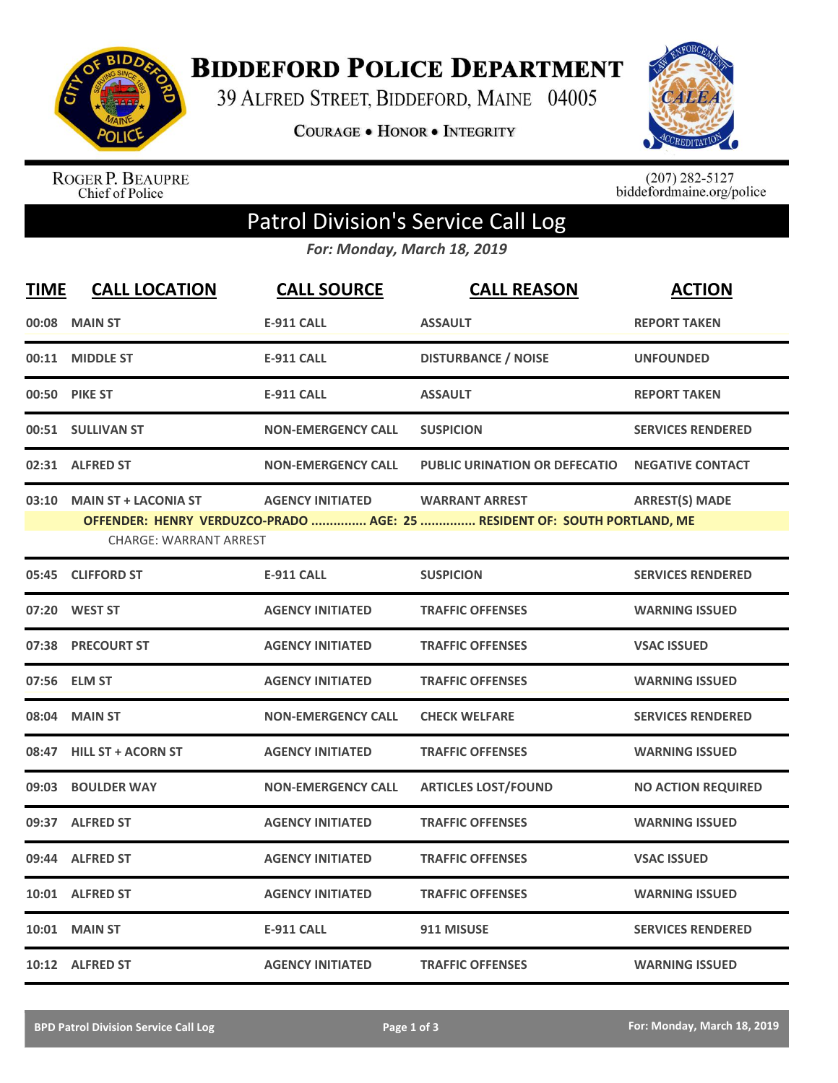

**BIDDEFORD POLICE DEPARTMENT** 

39 ALFRED STREET, BIDDEFORD, MAINE 04005

**COURAGE . HONOR . INTEGRITY** 



ROGER P. BEAUPRE<br>Chief of Police

 $(207)$  282-5127<br>biddefordmaine.org/police

## Patrol Division's Service Call Log

*For: Monday, March 18, 2019*

| <b>TIME</b> | <b>CALL LOCATION</b>                                        | <b>CALL SOURCE</b>        | <b>CALL REASON</b>                                                                                | <b>ACTION</b>             |
|-------------|-------------------------------------------------------------|---------------------------|---------------------------------------------------------------------------------------------------|---------------------------|
|             | 00:08 MAIN ST                                               | <b>E-911 CALL</b>         | <b>ASSAULT</b>                                                                                    | <b>REPORT TAKEN</b>       |
|             | 00:11 MIDDLE ST                                             | <b>E-911 CALL</b>         | <b>DISTURBANCE / NOISE</b>                                                                        | <b>UNFOUNDED</b>          |
|             | 00:50 PIKE ST                                               | <b>E-911 CALL</b>         | <b>ASSAULT</b>                                                                                    | <b>REPORT TAKEN</b>       |
|             | 00:51 SULLIVAN ST                                           | <b>NON-EMERGENCY CALL</b> | <b>SUSPICION</b>                                                                                  | <b>SERVICES RENDERED</b>  |
|             | 02:31 ALFRED ST                                             | <b>NON-EMERGENCY CALL</b> | <b>PUBLIC URINATION OR DEFECATIO</b>                                                              | <b>NEGATIVE CONTACT</b>   |
|             | 03:10 MAIN ST + LACONIA ST<br><b>CHARGE: WARRANT ARREST</b> | <b>AGENCY INITIATED</b>   | <b>WARRANT ARREST</b><br>OFFENDER: HENRY VERDUZCO-PRADO  AGE: 25  RESIDENT OF: SOUTH PORTLAND, ME | <b>ARREST(S) MADE</b>     |
|             | 05:45 CLIFFORD ST                                           | <b>E-911 CALL</b>         | <b>SUSPICION</b>                                                                                  | <b>SERVICES RENDERED</b>  |
|             | 07:20 WEST ST                                               | <b>AGENCY INITIATED</b>   | <b>TRAFFIC OFFENSES</b>                                                                           | <b>WARNING ISSUED</b>     |
| 07:38       | <b>PRECOURT ST</b>                                          | <b>AGENCY INITIATED</b>   | <b>TRAFFIC OFFENSES</b>                                                                           | <b>VSAC ISSUED</b>        |
|             | 07:56 ELM ST                                                | <b>AGENCY INITIATED</b>   | <b>TRAFFIC OFFENSES</b>                                                                           | <b>WARNING ISSUED</b>     |
| 08:04       | <b>MAIN ST</b>                                              | <b>NON-EMERGENCY CALL</b> | <b>CHECK WELFARE</b>                                                                              | <b>SERVICES RENDERED</b>  |
|             | 08:47 HILL ST + ACORN ST                                    | <b>AGENCY INITIATED</b>   | <b>TRAFFIC OFFENSES</b>                                                                           | <b>WARNING ISSUED</b>     |
| 09:03       | <b>BOULDER WAY</b>                                          | <b>NON-EMERGENCY CALL</b> | <b>ARTICLES LOST/FOUND</b>                                                                        | <b>NO ACTION REQUIRED</b> |
|             | 09:37 ALFRED ST                                             | <b>AGENCY INITIATED</b>   | <b>TRAFFIC OFFENSES</b>                                                                           | <b>WARNING ISSUED</b>     |
| 09:44       | <b>ALFRED ST</b>                                            | <b>AGENCY INITIATED</b>   | <b>TRAFFIC OFFENSES</b>                                                                           | <b>VSAC ISSUED</b>        |
|             | 10:01 ALFRED ST                                             | <b>AGENCY INITIATED</b>   | <b>TRAFFIC OFFENSES</b>                                                                           | <b>WARNING ISSUED</b>     |
| 10:01       | <b>MAIN ST</b>                                              | <b>E-911 CALL</b>         | 911 MISUSE                                                                                        | <b>SERVICES RENDERED</b>  |
|             | 10:12 ALFRED ST                                             | <b>AGENCY INITIATED</b>   | <b>TRAFFIC OFFENSES</b>                                                                           | <b>WARNING ISSUED</b>     |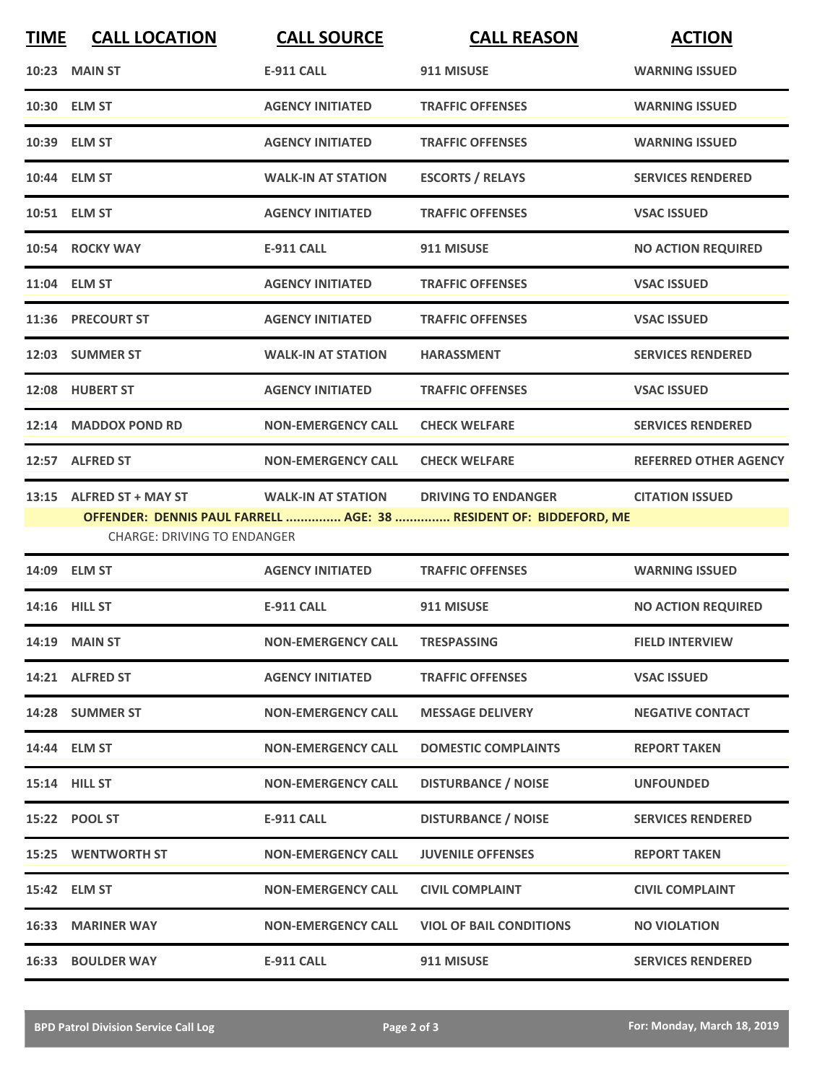| <b>TIME</b> | <b>CALL LOCATION</b>                                               | <b>CALL SOURCE</b>        | <b>CALL REASON</b>         | <b>ACTION</b>                |
|-------------|--------------------------------------------------------------------|---------------------------|----------------------------|------------------------------|
|             | <b>10:23 MAIN ST</b>                                               | <b>E-911 CALL</b>         | 911 MISUSE                 | <b>WARNING ISSUED</b>        |
|             | 10:30 ELM ST                                                       | <b>AGENCY INITIATED</b>   | <b>TRAFFIC OFFENSES</b>    | <b>WARNING ISSUED</b>        |
|             | 10:39 ELM ST                                                       | <b>AGENCY INITIATED</b>   | <b>TRAFFIC OFFENSES</b>    | <b>WARNING ISSUED</b>        |
|             | 10:44 ELM ST                                                       | <b>WALK-IN AT STATION</b> | <b>ESCORTS / RELAYS</b>    | <b>SERVICES RENDERED</b>     |
|             | 10:51 ELM ST                                                       | <b>AGENCY INITIATED</b>   | <b>TRAFFIC OFFENSES</b>    | <b>VSAC ISSUED</b>           |
|             | 10:54 ROCKY WAY                                                    | <b>E-911 CALL</b>         | 911 MISUSE                 | <b>NO ACTION REQUIRED</b>    |
|             | 11:04 ELM ST                                                       | <b>AGENCY INITIATED</b>   | <b>TRAFFIC OFFENSES</b>    | <b>VSAC ISSUED</b>           |
|             | 11:36 PRECOURT ST                                                  | <b>AGENCY INITIATED</b>   | <b>TRAFFIC OFFENSES</b>    | <b>VSAC ISSUED</b>           |
|             | 12:03 SUMMER ST                                                    | <b>WALK-IN AT STATION</b> | <b>HARASSMENT</b>          | <b>SERVICES RENDERED</b>     |
|             | 12:08 HUBERT ST                                                    | <b>AGENCY INITIATED</b>   | <b>TRAFFIC OFFENSES</b>    | <b>VSAC ISSUED</b>           |
|             | 12:14 MADDOX POND RD                                               | <b>NON-EMERGENCY CALL</b> | <b>CHECK WELFARE</b>       | <b>SERVICES RENDERED</b>     |
|             | 12:57 ALFRED ST                                                    | <b>NON-EMERGENCY CALL</b> | <b>CHECK WELFARE</b>       | <b>REFERRED OTHER AGENCY</b> |
|             | 13:15 ALFRED ST + MAY ST                                           | <b>WALK-IN AT STATION</b> | <b>DRIVING TO ENDANGER</b> | <b>CITATION ISSUED</b>       |
|             | OFFENDER: DENNIS PAUL FARRELL  AGE: 38  RESIDENT OF: BIDDEFORD, ME |                           |                            |                              |
|             | <b>CHARGE: DRIVING TO ENDANGER</b>                                 |                           |                            |                              |

| 14:09 ELM ST              | <b>AGENCY INITIATED</b>   | <b>TRAFFIC OFFENSES</b>        | <b>WARNING ISSUED</b>     |
|---------------------------|---------------------------|--------------------------------|---------------------------|
| 14:16 HILL ST             | <b>E-911 CALL</b>         | 911 MISUSE                     | <b>NO ACTION REQUIRED</b> |
| <b>14:19 MAIN ST</b>      | <b>NON-EMERGENCY CALL</b> | <b>TRESPASSING</b>             | <b>FIELD INTERVIEW</b>    |
| 14:21 ALFRED ST           | <b>AGENCY INITIATED</b>   | <b>TRAFFIC OFFENSES</b>        | <b>VSAC ISSUED</b>        |
| 14:28 SUMMER ST           | <b>NON-EMERGENCY CALL</b> | <b>MESSAGE DELIVERY</b>        | <b>NEGATIVE CONTACT</b>   |
| 14:44 ELM ST              | <b>NON-EMERGENCY CALL</b> | <b>DOMESTIC COMPLAINTS</b>     | <b>REPORT TAKEN</b>       |
| 15:14 HILL ST             | <b>NON-EMERGENCY CALL</b> | <b>DISTURBANCE / NOISE</b>     | <b>UNFOUNDED</b>          |
| 15:22 POOL ST             | <b>E-911 CALL</b>         | <b>DISTURBANCE / NOISE</b>     | <b>SERVICES RENDERED</b>  |
| <b>15:25 WENTWORTH ST</b> | <b>NON-EMERGENCY CALL</b> | <b>JUVENILE OFFENSES</b>       | <b>REPORT TAKEN</b>       |
| 15:42 ELM ST              | <b>NON-EMERGENCY CALL</b> | <b>CIVIL COMPLAINT</b>         | <b>CIVIL COMPLAINT</b>    |
| <b>16:33 MARINER WAY</b>  | <b>NON-EMERGENCY CALL</b> | <b>VIOL OF BAIL CONDITIONS</b> | <b>NO VIOLATION</b>       |
| <b>16:33 BOULDER WAY</b>  | <b>E-911 CALL</b>         | 911 MISUSE                     | <b>SERVICES RENDERED</b>  |